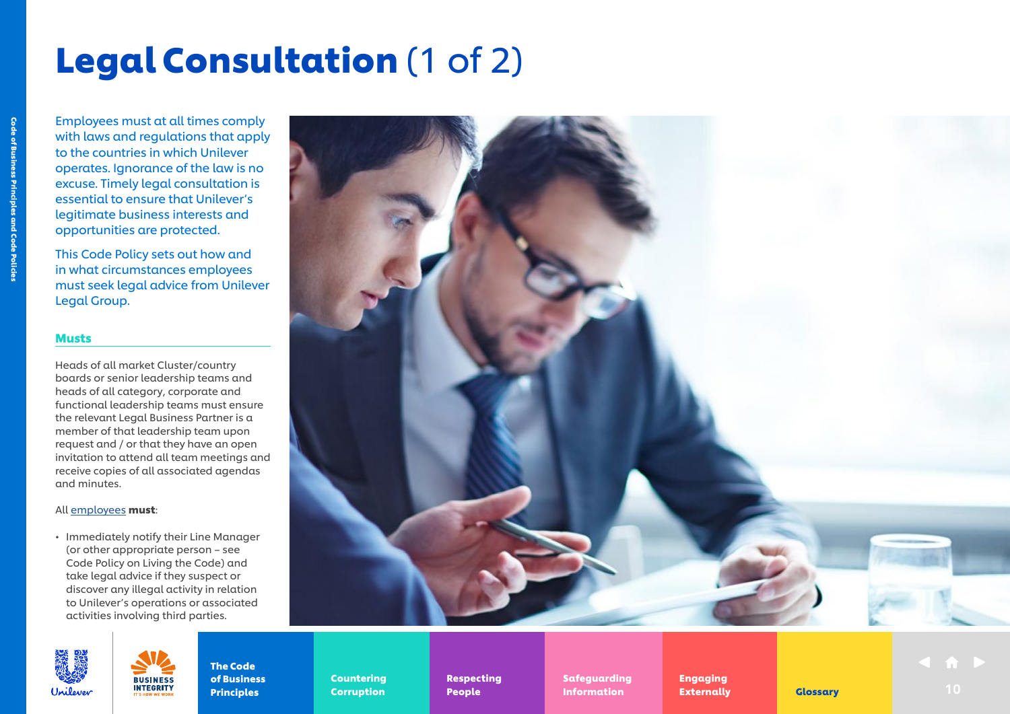## Legal Consultation (1 of 2)

Employees must at all times comply with laws and regulations that apply to the countries in which Unilever operates. Ignorance of the law is no excuse. Timely legal consultation is essential to ensure that Unilever's legitimate business interests and opportunities are protected.

This Code Policy sets out how and in what circumstances employees must seek legal advice from Unilever Legal Group.

### Musts

Heads of all market Cluster/country boards or senior leadership teams and heads of all category, corporate and functional leadership teams must ensure the relevant Legal Business Partner is a member of that leadership team upon request and / or that they have an open invitation to attend all team meetings and receive copies of all associated agendas and minutes.

### All [employees](https://unilever.sharepoint.com/:b:/s/Code%20and%20Code%20Policies/EdzBsjeFnGhEr7DcM2GrA5gBpFG3-zoytb8kb7YpAEwF1A?e=9pNGFV) must:

• Immediately notify their Line Manager (or other appropriate person – see Code Policy on Living the Code) and take legal advice if they suspect or discover any illegal activity in relation to Unilever's operations or associated activities involving third parties.

> **BUSINES INTEGRITY**





The Code of Business Principles

Countering Countering Corruption Corruption

Respecting Respecting People People

Safeguarding Safeguarding Information Externally Glossary 10

Engaging Engaging Externally Externally **Indian Externally Clossary** 10